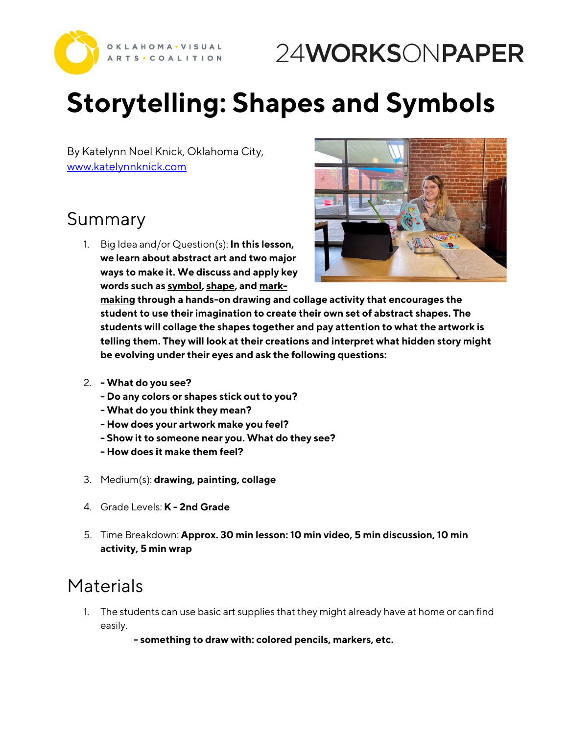

## 24WORKSONPAPER

# **Storytelling: Shapes and Symbols**

By Katelynn Noel Knick, Oklahoma City, [www.katelynnknick.com](https://www.katelynnknick.com/)

#### Summary

1. Big Idea and/or Question(s): **In this lesson, we learn about abstract art and two major ways to make it. We discuss and apply key words such as symbol, shape, and mark-**



**making through a hands-on drawing and collage activity that encourages the student to use their imagination to create their own set of abstract shapes. The students will collage the shapes together and pay attention to what the artwork is telling them. They will look at their creations and interpret what hidden story might be evolving under their eyes and ask the following questions:** 

- 2. **- What do you see?** 
	- **- Do any colors or shapes stick out to you?**
	- **- What do you think they mean?**
	- **- How does your artwork make you feel?**
	- **- Show it to someone near you. What do they see?**
	- **- How does it make them feel?**
- 3. Medium(s): **drawing, painting, collage**
- 4. Grade Levels: **K - 2nd Grade**
- 5. Time Breakdown: **Approx. 30 min lesson: 10 min video, 5 min discussion, 10 min activity, 5 min wrap**

#### **Materials**

- 1. The students can use basic art supplies that they might already have at home or can find easily.
	- **- something to draw with: colored pencils, markers, etc.**